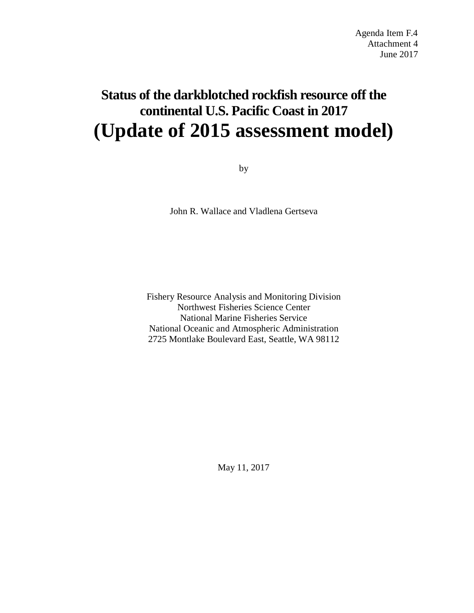# **Status of the darkblotched rockfish resource off the continental U.S. Pacific Coast in 2017 (Update of 2015 assessment model)**

by

John R. Wallace and Vladlena Gertseva

Fishery Resource Analysis and Monitoring Division Northwest Fisheries Science Center National Marine Fisheries Service National Oceanic and Atmospheric Administration 2725 Montlake Boulevard East, Seattle, WA 98112

May 11, 2017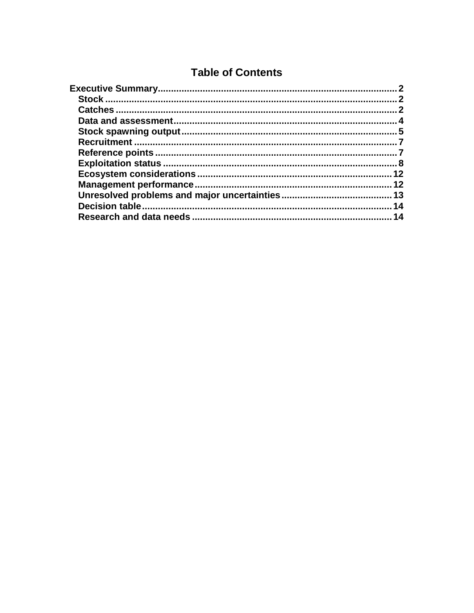# **Table of Contents**

| 12 |
|----|
| 12 |
|    |
| 14 |
| 14 |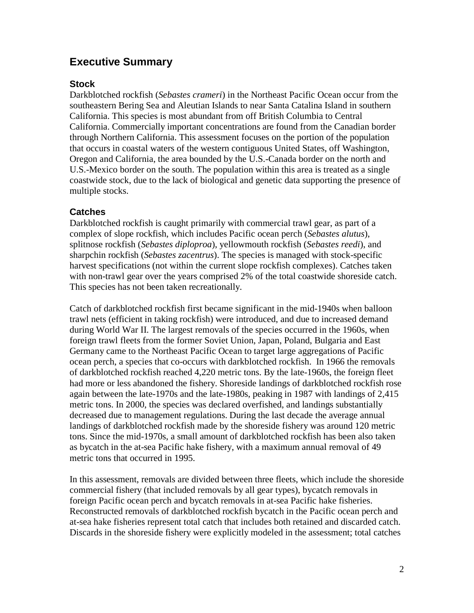## <span id="page-2-0"></span>**Executive Summary**

#### <span id="page-2-1"></span>**Stock**

Darkblotched rockfish (*Sebastes crameri*) in the Northeast Pacific Ocean occur from the southeastern Bering Sea and Aleutian Islands to near Santa Catalina Island in southern California. This species is most abundant from off British Columbia to Central California. Commercially important concentrations are found from the Canadian border through Northern California. This assessment focuses on the portion of the population that occurs in coastal waters of the western contiguous United States, off Washington, Oregon and California, the area bounded by the U.S.-Canada border on the north and U.S.-Mexico border on the south. The population within this area is treated as a single coastwide stock, due to the lack of biological and genetic data supporting the presence of multiple stocks.

### <span id="page-2-2"></span>**Catches**

Darkblotched rockfish is caught primarily with commercial trawl gear, as part of a complex of slope rockfish, which includes Pacific ocean perch (*Sebastes alutus*), splitnose rockfish (*Sebastes diploproa*), yellowmouth rockfish (*Sebastes reedi*), and sharpchin rockfish (*Sebastes zacentrus*). The species is managed with stock-specific harvest specifications (not within the current slope rockfish complexes). Catches taken with non-trawl gear over the years comprised 2% of the total coastwide shoreside catch. This species has not been taken recreationally.

Catch of darkblotched rockfish first became significant in the mid-1940s when balloon trawl nets (efficient in taking rockfish) were introduced, and due to increased demand during World War II. The largest removals of the species occurred in the 1960s, when foreign trawl fleets from the former Soviet Union, Japan, Poland, Bulgaria and East Germany came to the Northeast Pacific Ocean to target large aggregations of Pacific ocean perch, a species that co-occurs with darkblotched rockfish. In 1966 the removals of darkblotched rockfish reached 4,220 metric tons. By the late-1960s, the foreign fleet had more or less abandoned the fishery. Shoreside landings of darkblotched rockfish rose again between the late-1970s and the late-1980s, peaking in 1987 with landings of 2,415 metric tons. In 2000, the species was declared overfished, and landings substantially decreased due to management regulations. During the last decade the average annual landings of darkblotched rockfish made by the shoreside fishery was around 120 metric tons. Since the mid-1970s, a small amount of darkblotched rockfish has been also taken as bycatch in the at-sea Pacific hake fishery, with a maximum annual removal of 49 metric tons that occurred in 1995.

In this assessment, removals are divided between three fleets, which include the shoreside commercial fishery (that included removals by all gear types), bycatch removals in foreign Pacific ocean perch and bycatch removals in at-sea Pacific hake fisheries. Reconstructed removals of darkblotched rockfish bycatch in the Pacific ocean perch and at-sea hake fisheries represent total catch that includes both retained and discarded catch. Discards in the shoreside fishery were explicitly modeled in the assessment; total catches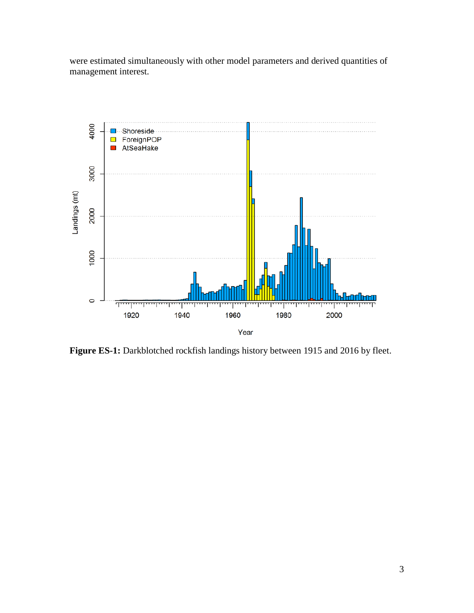were estimated simultaneously with other model parameters and derived quantities of management interest.



Figure ES-1: Darkblotched rockfish landings history between 1915 and 2016 by fleet.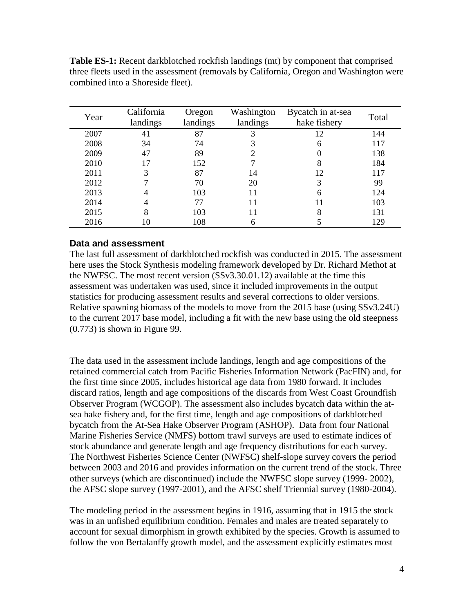| Year | California<br>landings | Oregon<br>landings | Washington<br>landings | Bycatch in at-sea<br>hake fishery | Total |
|------|------------------------|--------------------|------------------------|-----------------------------------|-------|
| 2007 | 41                     | 87                 |                        | 12                                | 144   |
| 2008 | 34                     | 74                 |                        | 6                                 | 117   |
| 2009 | 47                     | 89                 |                        |                                   | 138   |
| 2010 |                        | 152                |                        | 8                                 | 184   |
| 2011 | 3                      | 87                 | 14                     | 12                                | 117   |
| 2012 |                        | 70                 | 20                     | 3                                 | 99    |
| 2013 |                        | 103                | 11                     | 6                                 | 124   |
| 2014 |                        | 77                 |                        | 11                                | 103   |
| 2015 | 8                      | 103                |                        | 8                                 | 131   |
| 2016 | 10                     | 108                |                        |                                   | 129   |

**Table ES-1:** Recent darkblotched rockfish landings (mt) by component that comprised three fleets used in the assessment (removals by California, Oregon and Washington were combined into a Shoreside fleet).

#### <span id="page-4-0"></span>**Data and assessment**

The last full assessment of darkblotched rockfish was conducted in 2015. The assessment here uses the Stock Synthesis modeling framework developed by Dr. Richard Methot at the NWFSC. The most recent version (SSv3.30.01.12) available at the time this assessment was undertaken was used, since it included improvements in the output statistics for producing assessment results and several corrections to older versions. Relative spawning biomass of the models to move from the 2015 base (using SSv3.24U) to the current 2017 base model, including a fit with the new base using the old steepness  $(0.773)$  is shown in Figure 99.

The data used in the assessment include landings, length and age compositions of the retained commercial catch from Pacific Fisheries Information Network (PacFIN) and, for the first time since 2005, includes historical age data from 1980 forward. It includes discard ratios, length and age compositions of the discards from West Coast Groundfish Observer Program (WCGOP). The assessment also includes bycatch data within the atsea hake fishery and, for the first time, length and age compositions of darkblotched bycatch from the At-Sea Hake Observer Program (ASHOP). Data from four National Marine Fisheries Service (NMFS) bottom trawl surveys are used to estimate indices of stock abundance and generate length and age frequency distributions for each survey. The Northwest Fisheries Science Center (NWFSC) shelf-slope survey covers the period between 2003 and 2016 and provides information on the current trend of the stock. Three other surveys (which are discontinued) include the NWFSC slope survey (1999- 2002), the AFSC slope survey (1997-2001), and the AFSC shelf Triennial survey (1980-2004).

The modeling period in the assessment begins in 1916, assuming that in 1915 the stock was in an unfished equilibrium condition. Females and males are treated separately to account for sexual dimorphism in growth exhibited by the species. Growth is assumed to follow the von Bertalanffy growth model, and the assessment explicitly estimates most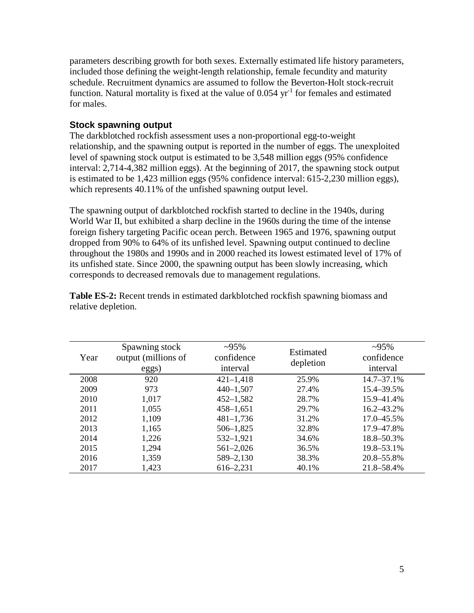parameters describing growth for both sexes. Externally estimated life history parameters, included those defining the weight-length relationship, female fecundity and maturity schedule. Recruitment dynamics are assumed to follow the Beverton-Holt stock-recruit function. Natural mortality is fixed at the value of  $0.054$  yr<sup>-1</sup> for females and estimated for males.

## <span id="page-5-0"></span>**Stock spawning output**

The darkblotched rockfish assessment uses a non-proportional egg-to-weight relationship, and the spawning output is reported in the number of eggs. The unexploited level of spawning stock output is estimated to be 3,548 million eggs (95% confidence interval: 2,714-4,382 million eggs). At the beginning of 2017, the spawning stock output is estimated to be 1,423 million eggs (95% confidence interval: 615-2,230 million eggs), which represents 40.11% of the unfished spawning output level.

The spawning output of darkblotched rockfish started to decline in the 1940s, during World War II, but exhibited a sharp decline in the 1960s during the time of the intense foreign fishery targeting Pacific ocean perch. Between 1965 and 1976, spawning output dropped from 90% to 64% of its unfished level. Spawning output continued to decline throughout the 1980s and 1990s and in 2000 reached its lowest estimated level of 17% of its unfished state. Since 2000, the spawning output has been slowly increasing, which corresponds to decreased removals due to management regulations.

| Year | Spawning stock<br>output (millions of<br>eggs) | $-95\%$<br>confidence<br>interval | Estimated<br>depletion | $\sim 95\%$<br>confidence<br>interval |
|------|------------------------------------------------|-----------------------------------|------------------------|---------------------------------------|
| 2008 | 920                                            | $421 - 1,418$                     | 25.9%                  | $14.7 - 37.1%$                        |
| 2009 | 973                                            | $440 - 1,507$                     | 27.4%                  | 15.4–39.5%                            |
| 2010 | 1,017                                          | $452 - 1,582$                     | 28.7%                  | 15.9–41.4%                            |
| 2011 | 1,055                                          | $458 - 1,651$                     | 29.7%                  | $16.2 - 43.2\%$                       |
| 2012 | 1,109                                          | $481 - 1,736$                     | 31.2%                  | 17.0–45.5%                            |
| 2013 | 1,165                                          | $506 - 1,825$                     | 32.8%                  | 17.9–47.8%                            |
| 2014 | 1,226                                          | $532 - 1,921$                     | 34.6%                  | 18.8–50.3%                            |
| 2015 | 1,294                                          | $561 - 2,026$                     | 36.5%                  | 19.8–53.1%                            |
| 2016 | 1,359                                          | 589-2,130                         | 38.3%                  | 20.8–55.8%                            |
| 2017 | 1,423                                          | 616–2,231                         | 40.1%                  | 21.8–58.4%                            |

**Table ES-2:** Recent trends in estimated darkblotched rockfish spawning biomass and relative depletion.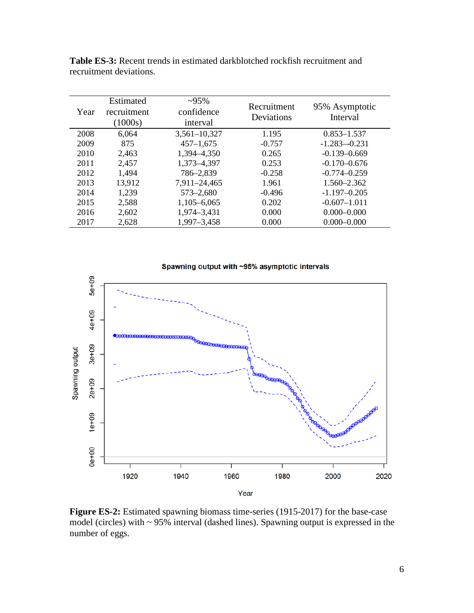| Year | Estimated<br>recruitment<br>(1000s) | $\sim 95\%$<br>confidence<br>interval | Recruitment<br>Deviations | 95% Asymptotic<br>Interval |
|------|-------------------------------------|---------------------------------------|---------------------------|----------------------------|
| 2008 | 6,064                               | $3,561 - 10,327$                      | 1.195                     | $0.853 - 1.537$            |
| 2009 | 875                                 | $457 - 1,675$                         | $-0.757$                  | $-1.283 - 0.231$           |
| 2010 | 2,463                               | 1,394-4,350                           | 0.265                     | $-0.139 - 0.669$           |
| 2011 | 2,457                               | 1,373-4,397                           | 0.253                     | $-0.170 - 0.676$           |
| 2012 | 1,494                               | 786-2,839                             | $-0.258$                  | $-0.774 - 0.259$           |
| 2013 | 13,912                              | 7,911-24,465                          | 1.961                     | 1.560-2.362                |
| 2014 | 1,239                               | $573 - 2,680$                         | $-0.496$                  | $-1.197 - 0.205$           |
| 2015 | 2,588                               | $1,105 - 6,065$                       | 0.202                     | $-0.607 - 1.011$           |
| 2016 | 2,602                               | 1,974-3,431                           | 0.000                     | $0.000 - 0.000$            |
| 2017 | 2,628                               | 1,997-3,458                           | 0.000                     | $0.000 - 0.000$            |

**Table ES-3:** Recent trends in estimated darkblotched rockfish recruitment and recruitment deviations.



**Figure ES-2:** Estimated spawning biomass time-series (1915-2017) for the base-case model (circles) with ~ 95% interval (dashed lines). Spawning output is expressed in the number of eggs.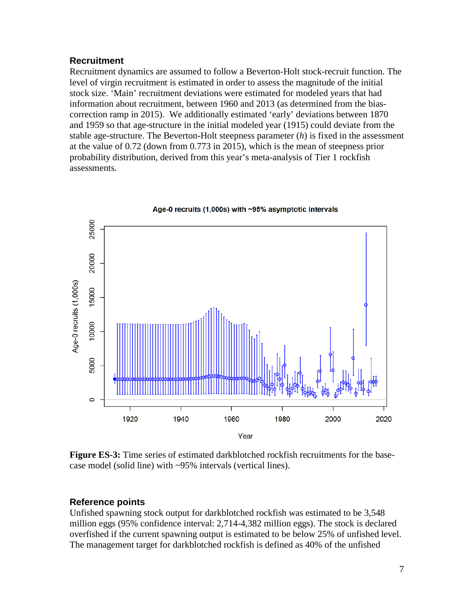#### <span id="page-7-0"></span>**Recruitment**

Recruitment dynamics are assumed to follow a Beverton-Holt stock-recruit function. The level of virgin recruitment is estimated in order to assess the magnitude of the initial stock size. 'Main' recruitment deviations were estimated for modeled years that had information about recruitment, between 1960 and 2013 (as determined from the biascorrection ramp in 2015). We additionally estimated 'early' deviations between 1870 and 1959 so that age-structure in the initial modeled year (1915) could deviate from the stable age-structure. The Beverton-Holt steepness parameter (*h*) is fixed in the assessment at the value of 0.72 (down from 0.773 in 2015), which is the mean of steepness prior probability distribution, derived from this year's meta-analysis of Tier 1 rockfish assessments.



Age-0 recruits (1,000s) with ~95% asymptotic intervals

**Figure ES-3:** Time series of estimated darkblotched rockfish recruitments for the basecase model (solid line) with ~95% intervals (vertical lines).

#### <span id="page-7-1"></span>**Reference points**

Unfished spawning stock output for darkblotched rockfish was estimated to be 3,548 million eggs (95% confidence interval: 2,714-4,382 million eggs). The stock is declared overfished if the current spawning output is estimated to be below 25% of unfished level. The management target for darkblotched rockfish is defined as 40% of the unfished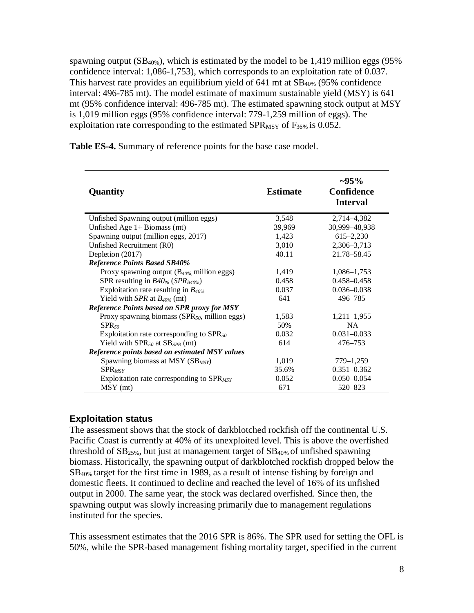spawning output  $(SB_{40\%})$ , which is estimated by the model to be 1,419 million eggs (95%) confidence interval: 1,086-1,753), which corresponds to an exploitation rate of 0.037. This harvest rate provides an equilibrium yield of  $641$  mt at  $SB<sub>40%</sub>$ </sub> (95% confidence interval: 496-785 mt). The model estimate of maximum sustainable yield (MSY) is 641 mt (95% confidence interval: 496-785 mt). The estimated spawning stock output at MSY is 1,019 million eggs (95% confidence interval: 779-1,259 million of eggs). The exploitation rate corresponding to the estimated  $SPR_{MSY}$  of  $F_{36\%}$  is 0.052.

| Quantity                                                  | <b>Estimate</b> | $\sim 95\%$<br><b>Confidence</b><br><b>Interval</b> |
|-----------------------------------------------------------|-----------------|-----------------------------------------------------|
| Unfished Spawning output (million eggs)                   | 3,548           | 2,714–4,382                                         |
| Unfished Age $1+$ Biomass (mt)                            | 39,969          | 30,999-48,938                                       |
| Spawning output (million eggs, 2017)                      | 1,423           | $615 - 2,230$                                       |
| Unfished Recruitment (R0)                                 | 3,010           | 2,306-3,713                                         |
| Depletion (2017)                                          | 40.11           | 21.78-58.45                                         |
| <b>Reference Points Based SB40%</b>                       |                 |                                                     |
| Proxy spawning output $(B_{40\%},$ million eggs)          | 1,419           | 1,086–1,753                                         |
| SPR resulting in $B40%$ (SPR <sub>B40%</sub> )            | 0.458           | $0.458 - 0.458$                                     |
| Exploitation rate resulting in $B_{40\%}$                 | 0.037           | $0.036 - 0.038$                                     |
| Yield with SPR at $B_{40\%}$ (mt)                         | 641             | 496-785                                             |
| <b>Reference Points based on SPR proxy for MSY</b>        |                 |                                                     |
| Proxy spawning biomass (SPR <sub>50</sub> , million eggs) | 1,583           | $1,211-1,955$                                       |
| $SPR$ <sub>50</sub>                                       | 50%             | <b>NA</b>                                           |
| Exploitation rate corresponding to $SPR_{50}$             | 0.032           | $0.031 - 0.033$                                     |
| Yield with $SPR_{50}$ at $SB_{SPR}$ (mt)                  | 614             | 476-753                                             |
| Reference points based on estimated MSY values            |                 |                                                     |
| Spawning biomass at MSY $(SB_{MSY})$                      | 1,019           | 779–1,259                                           |
| <b>SPR</b> <sub>MSY</sub>                                 | 35.6%           | $0.351 - 0.362$                                     |
| Exploitation rate corresponding to SPR <sub>MSY</sub>     | 0.052           | $0.050 - 0.054$                                     |
| $MSY$ (mt)                                                | 671             | 520 - 823                                           |

**Table ES-4.** Summary of reference points for the base case model.

#### <span id="page-8-0"></span>**Exploitation status**

The assessment shows that the stock of darkblotched rockfish off the continental U.S. Pacific Coast is currently at 40% of its unexploited level. This is above the overfished threshold of  $SB_{25\%}$ , but just at management target of  $SB_{40\%}$  of unfished spawning biomass. Historically, the spawning output of darkblotched rockfish dropped below the SB40% target for the first time in 1989, as a result of intense fishing by foreign and domestic fleets. It continued to decline and reached the level of 16% of its unfished output in 2000. The same year, the stock was declared overfished. Since then, the spawning output was slowly increasing primarily due to management regulations instituted for the species.

This assessment estimates that the 2016 SPR is 86%. The SPR used for setting the OFL is 50%, while the SPR-based management fishing mortality target, specified in the current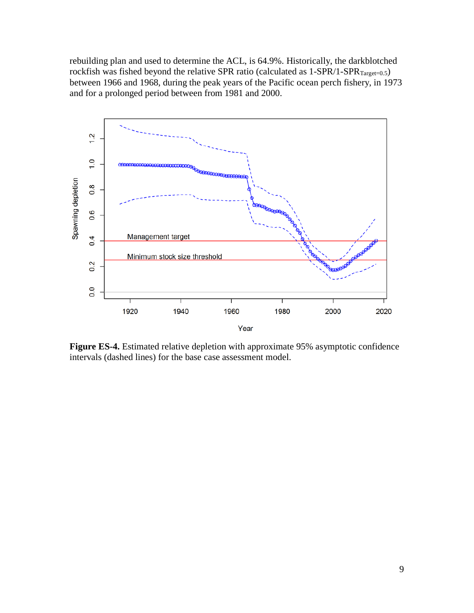rebuilding plan and used to determine the ACL, is 64.9%. Historically, the darkblotched rockfish was fished beyond the relative SPR ratio (calculated as  $1-SPR/1-SPR_{Target=0.5}$ ) between 1966 and 1968, during the peak years of the Pacific ocean perch fishery, in 1973 and for a prolonged period between from 1981 and 2000.



**Figure ES-4.** Estimated relative depletion with approximate 95% asymptotic confidence intervals (dashed lines) for the base case assessment model.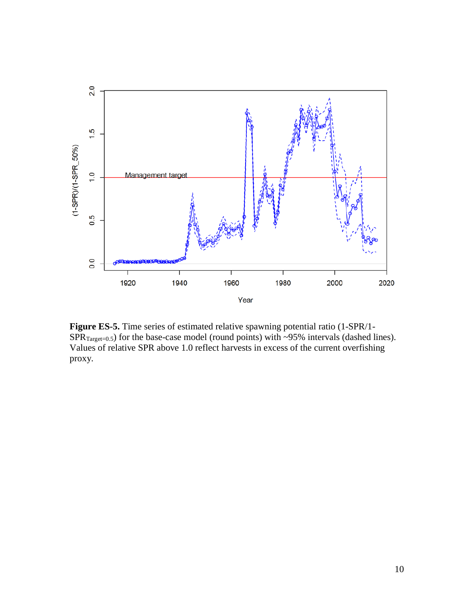

**Figure ES-5.** Time series of estimated relative spawning potential ratio (1-SPR/1-  $SPR_{Target=0.5}$ ) for the base-case model (round points) with ~95% intervals (dashed lines). Values of relative SPR above 1.0 reflect harvests in excess of the current overfishing proxy.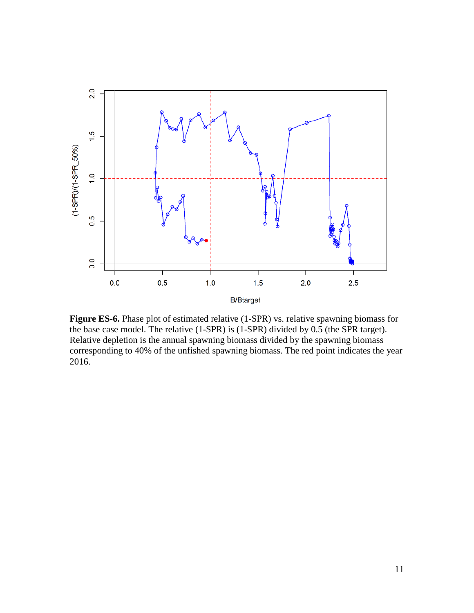

**Figure ES-6.** Phase plot of estimated relative (1-SPR) vs. relative spawning biomass for the base case model. The relative (1-SPR) is (1-SPR) divided by 0.5 (the SPR target). Relative depletion is the annual spawning biomass divided by the spawning biomass corresponding to 40% of the unfished spawning biomass. The red point indicates the year 2016.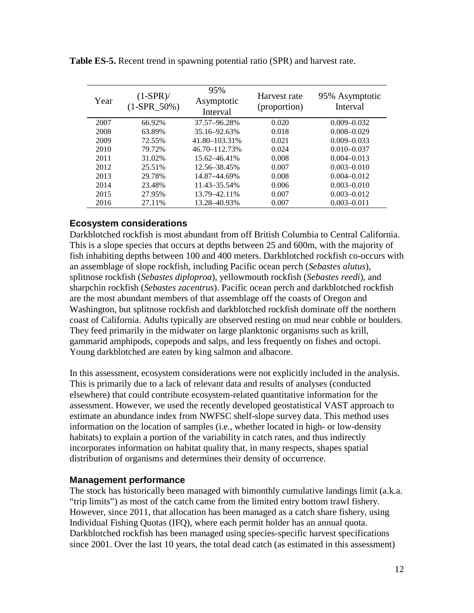| Year | $(1-SPR)$ /<br>$(1-SPR_50\%)$ | 95%<br>Asymptotic<br>Interval | Harvest rate<br>(proportion) | 95% Asymptotic<br>Interval |
|------|-------------------------------|-------------------------------|------------------------------|----------------------------|
| 2007 | 66.92%                        | 37.57-96.28%                  | 0.020                        | $0.009 - 0.032$            |
| 2008 | 63.89%                        | 35.16–92.63%                  | 0.018                        | $0.008 - 0.029$            |
| 2009 | 72.55%                        | 41.80-103.31%                 | 0.021                        | $0.009 - 0.033$            |
| 2010 | 79.72%                        | 46.70-112.73%                 | 0.024                        | $0.010 - 0.037$            |
| 2011 | 31.02%                        | 15.62–46.41%                  | 0.008                        | $0.004 - 0.013$            |
| 2012 | 25.51%                        | 12.56–38.45%                  | 0.007                        | $0.003 - 0.010$            |
| 2013 | 29.78%                        | 14.87–44.69%                  | 0.008                        | $0.004 - 0.012$            |
| 2014 | 23.48%                        | 11.43 - 35.54%                | 0.006                        | $0.003 - 0.010$            |
| 2015 | 27.95%                        | 13.79 - 42.11%                | 0.007                        | $0.003 - 0.012$            |
| 2016 | 27.11%                        | 13.28 - 40.93%                | 0.007                        | $0.003 - 0.011$            |

**Table ES-5.** Recent trend in spawning potential ratio (SPR) and harvest rate.

#### <span id="page-12-0"></span>**Ecosystem considerations**

Darkblotched rockfish is most abundant from off British Columbia to Central California. This is a slope species that occurs at depths between 25 and 600m, with the majority of fish inhabiting depths between 100 and 400 meters. Darkblotched rockfish co-occurs with an assemblage of slope rockfish, including Pacific ocean perch (*Sebastes alutus*), splitnose rockfish (*Sebastes diploproa*), yellowmouth rockfish (*Sebastes reedi*), and sharpchin rockfish (*Sebastes zacentrus*). Pacific ocean perch and darkblotched rockfish are the most abundant members of that assemblage off the coasts of Oregon and Washington, but splitnose rockfish and darkblotched rockfish dominate off the northern coast of California. Adults typically are observed resting on mud near cobble or boulders. They feed primarily in the midwater on large planktonic organisms such as krill, gammarid amphipods, copepods and salps, and less frequently on fishes and octopi. Young darkblotched are eaten by king salmon and albacore.

In this assessment, ecosystem considerations were not explicitly included in the analysis. This is primarily due to a lack of relevant data and results of analyses (conducted elsewhere) that could contribute ecosystem-related quantitative information for the assessment. However, we used the recently developed geostatistical VAST approach to estimate an abundance index from NWFSC shelf-slope survey data. This method uses information on the location of samples (i.e., whether located in high- or low-density habitats) to explain a portion of the variability in catch rates, and thus indirectly incorporates information on habitat quality that, in many respects, shapes spatial distribution of organisms and determines their density of occurrence.

#### <span id="page-12-1"></span>**Management performance**

The stock has historically been managed with bimonthly cumulative landings limit (a.k.a. "trip limits") as most of the catch came from the limited entry bottom trawl fishery. However, since 2011, that allocation has been managed as a catch share fishery, using Individual Fishing Quotas (IFQ), where each permit holder has an annual quota. Darkblotched rockfish has been managed using species-specific harvest specifications since 2001. Over the last 10 years, the total dead catch (as estimated in this assessment)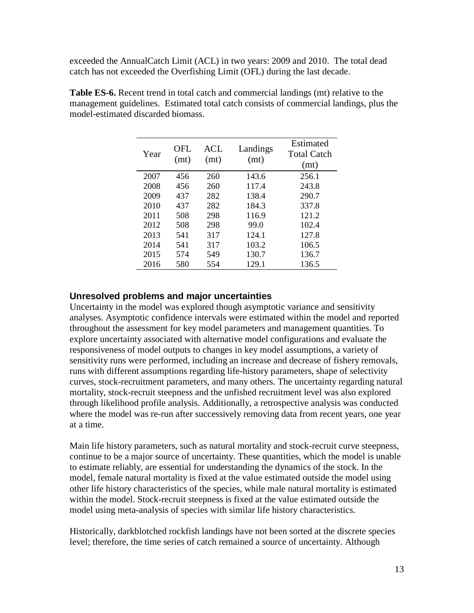exceeded the AnnualCatch Limit (ACL) in two years: 2009 and 2010. The total dead catch has not exceeded the Overfishing Limit (OFL) during the last decade.

| Year | OFL.<br>(mt) | <b>ACL</b><br>(mt) | Landings<br>(mt) | Estimated<br>Total Catch<br>(mt) |
|------|--------------|--------------------|------------------|----------------------------------|
| 2007 | 456          | 260                | 143.6            | 256.1                            |
| 2008 | 456          | 260                | 117.4            | 243.8                            |
| 2009 | 437          | 282                | 138.4            | 290.7                            |
| 2010 | 437          | 282                | 184.3            | 337.8                            |
| 2011 | 508          | 298                | 116.9            | 121.2                            |
| 2012 | 508          | 298                | 99.0             | 102.4                            |
| 2013 | 541          | 317                | 124.1            | 127.8                            |
| 2014 | 541          | 317                | 103.2            | 106.5                            |
| 2015 | 574          | 549                | 130.7            | 136.7                            |
| 2016 | 580          | 554                | 129.1            | 136.5                            |

**Table ES-6.** Recent trend in total catch and commercial landings (mt) relative to the management guidelines. Estimated total catch consists of commercial landings, plus the model-estimated discarded biomass.

#### <span id="page-13-0"></span>**Unresolved problems and major uncertainties**

Uncertainty in the model was explored though asymptotic variance and sensitivity analyses. Asymptotic confidence intervals were estimated within the model and reported throughout the assessment for key model parameters and management quantities. To explore uncertainty associated with alternative model configurations and evaluate the responsiveness of model outputs to changes in key model assumptions, a variety of sensitivity runs were performed, including an increase and decrease of fishery removals, runs with different assumptions regarding life-history parameters, shape of selectivity curves, stock-recruitment parameters, and many others. The uncertainty regarding natural mortality, stock-recruit steepness and the unfished recruitment level was also explored through likelihood profile analysis. Additionally, a retrospective analysis was conducted where the model was re-run after successively removing data from recent years, one year at a time.

Main life history parameters, such as natural mortality and stock-recruit curve steepness, continue to be a major source of uncertainty. These quantities, which the model is unable to estimate reliably, are essential for understanding the dynamics of the stock. In the model, female natural mortality is fixed at the value estimated outside the model using other life history characteristics of the species, while male natural mortality is estimated within the model. Stock-recruit steepness is fixed at the value estimated outside the model using meta-analysis of species with similar life history characteristics.

Historically, darkblotched rockfish landings have not been sorted at the discrete species level; therefore, the time series of catch remained a source of uncertainty. Although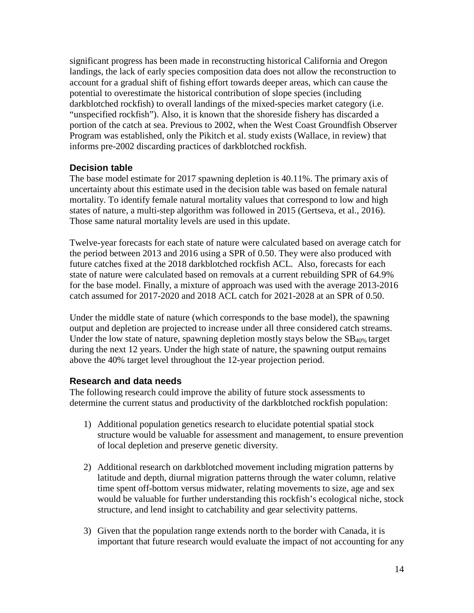significant progress has been made in reconstructing historical California and Oregon landings, the lack of early species composition data does not allow the reconstruction to account for a gradual shift of fishing effort towards deeper areas, which can cause the potential to overestimate the historical contribution of slope species (including darkblotched rockfish) to overall landings of the mixed-species market category (i.e. "unspecified rockfish"). Also, it is known that the shoreside fishery has discarded a portion of the catch at sea. Previous to 2002, when the West Coast Groundfish Observer Program was established, only the Pikitch et al. study exists (Wallace, in review) that informs pre-2002 discarding practices of darkblotched rockfish.

### <span id="page-14-0"></span>**Decision table**

The base model estimate for 2017 spawning depletion is 40.11%. The primary axis of uncertainty about this estimate used in the decision table was based on female natural mortality. To identify female natural mortality values that correspond to low and high states of nature, a multi-step algorithm was followed in 2015 (Gertseva, et al., 2016). Those same natural mortality levels are used in this update.

Twelve-year forecasts for each state of nature were calculated based on average catch for the period between 2013 and 2016 using a SPR of 0.50. They were also produced with future catches fixed at the 2018 darkblotched rockfish ACL. Also, forecasts for each state of nature were calculated based on removals at a current rebuilding SPR of 64.9% for the base model. Finally, a mixture of approach was used with the average 2013-2016 catch assumed for 2017-2020 and 2018 ACL catch for 2021-2028 at an SPR of 0.50.

Under the middle state of nature (which corresponds to the base model), the spawning output and depletion are projected to increase under all three considered catch streams. Under the low state of nature, spawning depletion mostly stays below the SB40% target during the next 12 years. Under the high state of nature, the spawning output remains above the 40% target level throughout the 12-year projection period.

#### <span id="page-14-1"></span>**Research and data needs**

The following research could improve the ability of future stock assessments to determine the current status and productivity of the darkblotched rockfish population:

- 1) Additional population genetics research to elucidate potential spatial stock structure would be valuable for assessment and management, to ensure prevention of local depletion and preserve genetic diversity.
- 2) Additional research on darkblotched movement including migration patterns by latitude and depth, diurnal migration patterns through the water column, relative time spent off-bottom versus midwater, relating movements to size, age and sex would be valuable for further understanding this rockfish's ecological niche, stock structure, and lend insight to catchability and gear selectivity patterns.
- 3) Given that the population range extends north to the border with Canada, it is important that future research would evaluate the impact of not accounting for any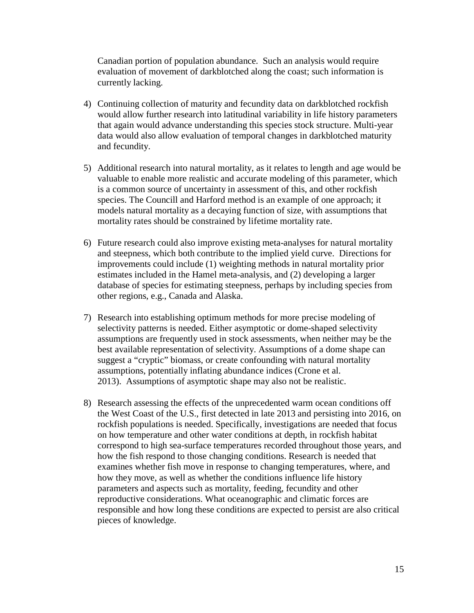Canadian portion of population abundance. Such an analysis would require evaluation of movement of darkblotched along the coast; such information is currently lacking.

- 4) Continuing collection of maturity and fecundity data on darkblotched rockfish would allow further research into latitudinal variability in life history parameters that again would advance understanding this species stock structure. Multi-year data would also allow evaluation of temporal changes in darkblotched maturity and fecundity.
- 5) Additional research into natural mortality, as it relates to length and age would be valuable to enable more realistic and accurate modeling of this parameter, which is a common source of uncertainty in assessment of this, and other rockfish species. The Councill and Harford method is an example of one approach; it models natural mortality as a decaying function of size, with assumptions that mortality rates should be constrained by lifetime mortality rate.
- 6) Future research could also improve existing meta-analyses for natural mortality and steepness, which both contribute to the implied yield curve. Directions for improvements could include (1) weighting methods in natural mortality prior estimates included in the Hamel meta-analysis, and (2) developing a larger database of species for estimating steepness, perhaps by including species from other regions, e.g., Canada and Alaska.
- 7) Research into establishing optimum methods for more precise modeling of selectivity patterns is needed. Either asymptotic or dome-shaped selectivity assumptions are frequently used in stock assessments, when neither may be the best available representation of selectivity. Assumptions of a dome shape can suggest a "cryptic" biomass, or create confounding with natural mortality assumptions, potentially inflating abundance indices (Crone et al. 2013). Assumptions of asymptotic shape may also not be realistic.
- 8) Research assessing the effects of the unprecedented warm ocean conditions off the West Coast of the U.S., first detected in late 2013 and persisting into 2016, on rockfish populations is needed. Specifically, investigations are needed that focus on how temperature and other water conditions at depth, in rockfish habitat correspond to high sea-surface temperatures recorded throughout those years, and how the fish respond to those changing conditions. Research is needed that examines whether fish move in response to changing temperatures, where, and how they move, as well as whether the conditions influence life history parameters and aspects such as mortality, feeding, fecundity and other reproductive considerations. What oceanographic and climatic forces are responsible and how long these conditions are expected to persist are also critical pieces of knowledge.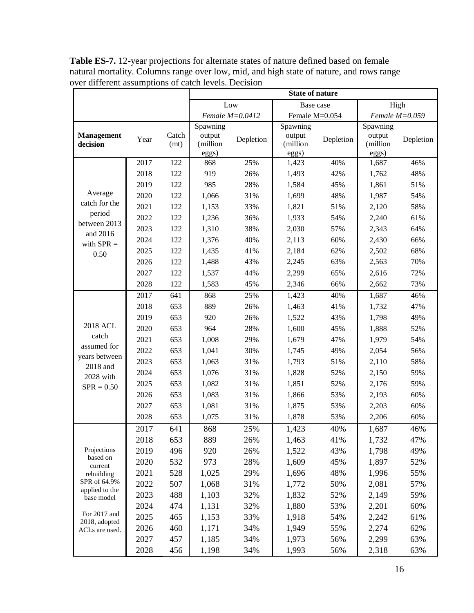|                                 |      |               | <b>State of nature</b> |                   |                    |           |                    |           |
|---------------------------------|------|---------------|------------------------|-------------------|--------------------|-----------|--------------------|-----------|
|                                 |      |               | Low<br>Base case       |                   |                    |           | High               |           |
|                                 |      |               |                        | Female $M=0.0412$ | Female M=0.054     |           | Female $M=0.059$   |           |
|                                 |      |               | Spawning               |                   | Spawning           |           | Spawning           |           |
| Management<br>decision          | Year | Catch<br>(mt) | output<br>(million     | Depletion         | output<br>(million | Depletion | output<br>(million | Depletion |
|                                 |      |               | eggs)                  |                   | eggs)              |           | eggs)              |           |
|                                 | 2017 | 122           | 868                    | 25%               | 1,423              | 40%       | 1,687              | 46%       |
|                                 | 2018 | 122           | 919                    | 26%               | 1,493              | 42%       | 1,762              | 48%       |
|                                 | 2019 | 122           | 985                    | 28%               | 1,584              | 45%       | 1,861              | 51%       |
| Average<br>catch for the        | 2020 | 122           | 1,066                  | 31%               | 1,699              | 48%       | 1,987              | 54%       |
| period                          | 2021 | 122           | 1,153                  | 33%               | 1,821              | 51%       | 2,120              | 58%       |
| between 2013                    | 2022 | 122           | 1,236                  | 36%               | 1,933              | 54%       | 2,240              | 61%       |
| and 2016                        | 2023 | 122           | 1,310                  | 38%               | 2,030              | 57%       | 2,343              | 64%       |
| with $SPR =$                    | 2024 | 122           | 1,376                  | 40%               | 2,113              | 60%       | 2,430              | 66%       |
| 0.50                            | 2025 | 122           | 1,435                  | 41%               | 2,184              | 62%       | 2,502              | 68%       |
|                                 | 2026 | 122           | 1,488                  | 43%               | 2,245              | 63%       | 2,563              | 70%       |
|                                 | 2027 | 122           | 1,537                  | 44%               | 2,299              | 65%       | 2,616              | 72%       |
|                                 | 2028 | 122           | 1,583                  | 45%               | 2,346              | 66%       | 2,662              | 73%       |
|                                 | 2017 | 641           | 868                    | 25%               | 1,423              | 40%       | 1,687              | 46%       |
|                                 | 2018 | 653           | 889                    | 26%               | 1,463              | 41%       | 1,732              | 47%       |
|                                 | 2019 | 653           | 920                    | 26%               | 1,522              | 43%       | 1,798              | 49%       |
| 2018 ACL                        | 2020 | 653           | 964                    | 28%               | 1,600              | 45%       | 1,888              | 52%       |
| catch                           | 2021 | 653           | 1,008                  | 29%               | 1,679              | 47%       | 1,979              | 54%       |
| assumed for                     | 2022 | 653           | 1,041                  | 30%               | 1,745              | 49%       | 2,054              | 56%       |
| years between                   | 2023 | 653           | 1,063                  | 31%               | 1,793              | 51%       | 2,110              | 58%       |
| 2018 and<br>2028 with           | 2024 | 653           | 1,076                  | 31%               | 1,828              | 52%       | 2,150              | 59%       |
| $SPR = 0.50$                    | 2025 | 653           | 1,082                  | 31%               | 1,851              | 52%       | 2,176              | 59%       |
|                                 | 2026 | 653           | 1,083                  | 31%               | 1,866              | 53%       | 2,193              | 60%       |
|                                 | 2027 | 653           | 1,081                  | 31%               | 1,875              | 53%       | 2,203              | 60%       |
|                                 | 2028 | 653           | 1,075                  | 31%               | 1,878              | 53%       | 2,206              | 60%       |
|                                 | 2017 | 641           | 868                    | 25%               | 1,423              | 40%       | 1,687              | 46%       |
|                                 | 2018 | 653           | 889                    | 26%               | 1,463              | 41%       | 1,732              | 47%       |
| Projections                     | 2019 | 496           | 920                    | 26%               | 1,522              | 43%       | 1,798              | 49%       |
| based on<br>current             | 2020 | 532           | 973                    | 28%               | 1,609              | 45%       | 1,897              | 52%       |
| rebuilding                      | 2021 | 528           | 1,025                  | 29%               | 1,696              | 48%       | 1,996              | 55%       |
| SPR of 64.9%                    | 2022 | 507           | 1,068                  | 31%               | 1,772              | 50%       | 2,081              | 57%       |
| applied to the<br>base model    | 2023 | 488           | 1,103                  | 32%               | 1,832              | 52%       | 2,149              | 59%       |
|                                 | 2024 | 474           | 1,131                  | 32%               | 1,880              | 53%       | 2,201              | 60%       |
| For 2017 and                    | 2025 | 465           | 1,153                  | 33%               | 1,918              | 54%       | 2,242              | 61%       |
| 2018, adopted<br>ACLs are used. | 2026 | 460           | 1,171                  | 34%               | 1,949              | 55%       | 2,274              | 62%       |
|                                 | 2027 | 457           | 1,185                  | 34%               | 1,973              | 56%       | 2,299              | 63%       |
|                                 | 2028 | 456           | 1,198                  | 34%               | 1,993              | 56%       | 2,318              | 63%       |

**Table ES-7.** 12-year projections for alternate states of nature defined based on female natural mortality. Columns range over low, mid, and high state of nature, and rows range over different assumptions of catch levels. Decision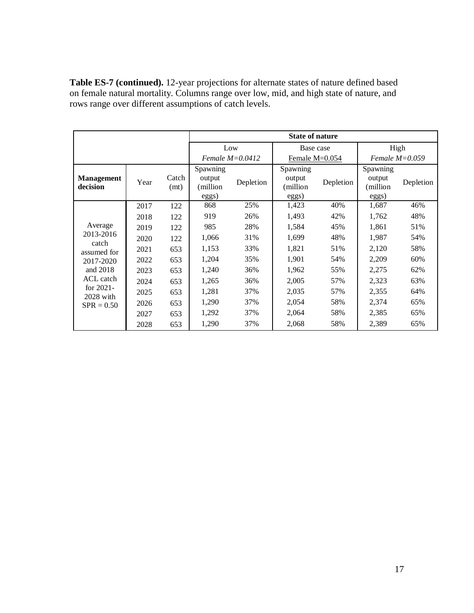**Table ES-7 (continued).** 12-year projections for alternate states of nature defined based on female natural mortality. Columns range over low, mid, and high state of nature, and rows range over different assumptions of catch levels.

|                               |      |               | <b>State of nature</b>                  |                   |                                         |           |                                         |                  |  |
|-------------------------------|------|---------------|-----------------------------------------|-------------------|-----------------------------------------|-----------|-----------------------------------------|------------------|--|
|                               |      |               | Low                                     |                   | Base case                               |           | High                                    |                  |  |
|                               |      |               |                                         | Female $M=0.0412$ | Female $M=0.054$                        |           |                                         | Female $M=0.059$ |  |
| <b>Management</b><br>decision | Year | Catch<br>(mt) | Spawning<br>output<br>(million<br>eggs) | Depletion         | Spawning<br>output<br>(million<br>eggs) | Depletion | Spawning<br>output<br>million)<br>eggs) | Depletion        |  |
|                               | 2017 | 122           | 868                                     | 25%               | 1,423                                   | 40%       | 1,687                                   | 46%              |  |
|                               | 2018 | 122           | 919                                     | 26%               | 1,493                                   | 42%       | 1,762                                   | 48%              |  |
| Average                       | 2019 | 122           | 985                                     | 28%               | 1,584                                   | 45%       | 1,861                                   | 51%              |  |
| 2013-2016                     | 2020 | 122           | 1,066                                   | 31%               | 1,699                                   | 48%       | 1,987                                   | 54%              |  |
| catch<br>assumed for          | 2021 | 653           | 1,153                                   | 33%               | 1,821                                   | 51%       | 2,120                                   | 58%              |  |
| 2017-2020                     | 2022 | 653           | 1,204                                   | 35%               | 1,901                                   | 54%       | 2,209                                   | 60%              |  |
| and 2018                      | 2023 | 653           | 1,240                                   | 36%               | 1,962                                   | 55%       | 2,275                                   | 62%              |  |
| ACL catch                     | 2024 | 653           | 1,265                                   | 36%               | 2,005                                   | 57%       | 2,323                                   | 63%              |  |
| for $2021$ -                  | 2025 | 653           | 1,281                                   | 37%               | 2,035                                   | 57%       | 2,355                                   | 64%              |  |
| 2028 with<br>$SPR = 0.50$     | 2026 | 653           | 1,290                                   | 37%               | 2,054                                   | 58%       | 2,374                                   | 65%              |  |
|                               | 2027 | 653           | 1,292                                   | 37%               | 2,064                                   | 58%       | 2,385                                   | 65%              |  |
|                               | 2028 | 653           | 1,290                                   | 37%               | 2,068                                   | 58%       | 2,389                                   | 65%              |  |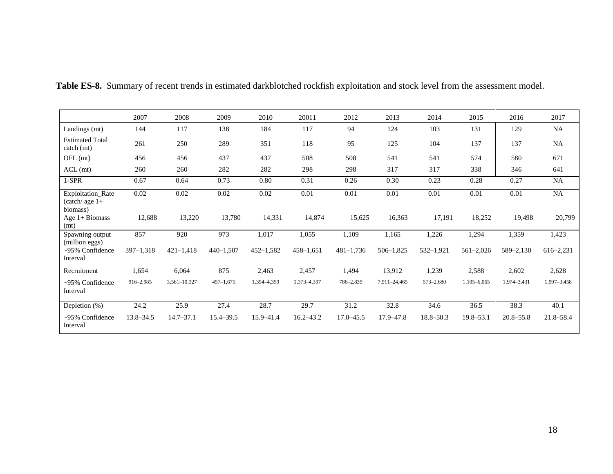|                                                     | 2007          | 2008          | 2009          | 2010          | 20011         | 2012          | 2013          | 2014          | 2015          | 2016          | 2017        |
|-----------------------------------------------------|---------------|---------------|---------------|---------------|---------------|---------------|---------------|---------------|---------------|---------------|-------------|
| Landings (mt)                                       | 144           | 117           | 138           | 184           | 117           | 94            | 124           | 103           | 131           | 129           | NA          |
| <b>Estimated Total</b><br>catch (mt)                | 261           | 250           | 289           | 351           | 118           | 95            | 125           | 104           | 137           | 137           | NA          |
| OFL (mt)                                            | 456           | 456           | 437           | 437           | 508           | 508           | 541           | 541           | 574           | 580           | 671         |
| $ACL$ (mt)                                          | 260           | 260           | 282           | 282           | 298           | 298           | 317           | 317           | 338           | 346           | 641         |
| $1-SPR$                                             | 0.67          | 0.64          | 0.73          | $0.80\,$      | 0.31          | 0.26          | 0.30          | 0.23          | 0.28          | 0.27          | NA          |
| Exploitation_Rate<br>$(catch)$ age $1+$<br>biomass) | 0.02          | 0.02          | 0.02          | 0.02          | 0.01          | 0.01          | 0.01          | 0.01          | 0.01          | 0.01          | NA          |
| Age $1+$ Biomass<br>(mt)                            | 12,688        | 13,220        | 13,780        | 14,331        | 14,874        | 15,625        | 16,363        | 17,191        | 18,252        | 19,498        | 20,799      |
| Spawning output<br>(million eggs)                   | 857           | 920           | 973           | 1,017         | 1,055         | 1,109         | 1,165         | 1,226         | 1,294         | 1,359         | 1,423       |
| ~95% Confidence<br>Interval                         | $397 - 1,318$ | $421 - 1,418$ | $440 - 1,507$ | $452 - 1,582$ | $458 - 1,651$ | $481 - 1,736$ | $506 - 1,825$ | 532-1,921     | $561 - 2,026$ | 589-2,130     | 616-2,231   |
| Recruitment                                         | 1,654         | 6,064         | 875           | 2,463         | 2,457         | 1,494         | 13,912        | 1,239         | 2,588         | 2,602         | 2,628       |
| ~95% Confidence<br>Interval                         | 916-2,985     | 3,561-10,327  | $457 - 1,675$ | 1,394-4,350   | 1,373-4,397   | 786-2,839     | 7,911-24,465  | $573 - 2,680$ | 1,105-6,065   | 1,974-3,431   | 1,997-3,458 |
| Depletion $(\%)$                                    | 24.2          | 25.9          | 27.4          | 28.7          | 29.7          | 31.2          | 32.8          | 34.6          | 36.5          | 38.3          | 40.1        |
| ~95% Confidence<br>Interval                         | $13.8 - 34.5$ | $14.7 - 37.1$ | 15.4-39.5     | 15.9-41.4     | $16.2 - 43.2$ | $17.0 - 45.5$ | 17.9-47.8     | $18.8 - 50.3$ | $19.8 - 53.1$ | $20.8 - 55.8$ | 21.8–58.4   |

**Table ES-8.** Summary of recent trends in estimated darkblotched rockfish exploitation and stock level from the assessment model.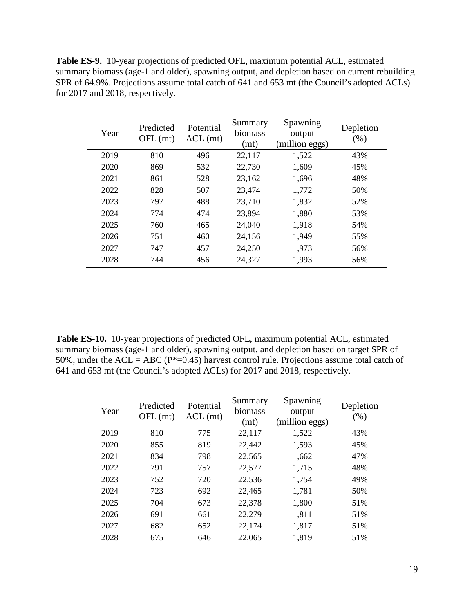**Table ES-9.** 10-year projections of predicted OFL, maximum potential ACL, estimated summary biomass (age-1 and older), spawning output, and depletion based on current rebuilding SPR of 64.9%. Projections assume total catch of 641 and 653 mt (the Council's adopted ACLs) for 2017 and 2018, respectively.

| Year | Predicted<br>$OFL$ (mt) | Potential<br>$ACL$ (mt) | Summary<br>biomass<br>(mt) | Spawning<br>output<br>(million eggs) | Depletion<br>$(\%)$ |
|------|-------------------------|-------------------------|----------------------------|--------------------------------------|---------------------|
| 2019 | 810                     | 496                     | 22,117                     | 1,522                                | 43%                 |
| 2020 | 869                     | 532                     | 22,730                     | 1,609                                | 45%                 |
| 2021 | 861                     | 528                     | 23,162                     | 1,696                                | 48%                 |
| 2022 | 828                     | 507                     | 23,474                     | 1,772                                | 50%                 |
| 2023 | 797                     | 488                     | 23,710                     | 1,832                                | 52%                 |
| 2024 | 774                     | 474                     | 23,894                     | 1,880                                | 53%                 |
| 2025 | 760                     | 465                     | 24,040                     | 1,918                                | 54%                 |
| 2026 | 751                     | 460                     | 24,156                     | 1,949                                | 55%                 |
| 2027 | 747                     | 457                     | 24,250                     | 1,973                                | 56%                 |
| 2028 | 744                     | 456                     | 24,327                     | 1,993                                | 56%                 |

**Table ES-10.** 10-year projections of predicted OFL, maximum potential ACL, estimated summary biomass (age-1 and older), spawning output, and depletion based on target SPR of 50%, under the ACL = ABC ( $P^*=0.45$ ) harvest control rule. Projections assume total catch of 641 and 653 mt (the Council's adopted ACLs) for 2017 and 2018, respectively.

| Year | Predicted<br>$OFL$ (mt) | Potential<br>$ACL$ (mt) | Summary<br>biomass<br>(mt) | Spawning<br>output<br>(million eggs) | Depletion<br>$(\%)$ |
|------|-------------------------|-------------------------|----------------------------|--------------------------------------|---------------------|
| 2019 | 810                     | 775                     | 22,117                     | 1,522                                | 43%                 |
| 2020 | 855                     | 819                     | 22,442                     | 1,593                                | 45%                 |
| 2021 | 834                     | 798                     | 22,565                     | 1,662                                | 47%                 |
| 2022 | 791                     | 757                     | 22,577                     | 1,715                                | 48%                 |
| 2023 | 752                     | 720                     | 22,536                     | 1,754                                | 49%                 |
| 2024 | 723                     | 692                     | 22,465                     | 1,781                                | 50%                 |
| 2025 | 704                     | 673                     | 22,378                     | 1,800                                | 51%                 |
| 2026 | 691                     | 661                     | 22,279                     | 1,811                                | 51%                 |
| 2027 | 682                     | 652                     | 22,174                     | 1,817                                | 51%                 |
| 2028 | 675                     | 646                     | 22,065                     | 1,819                                | 51%                 |